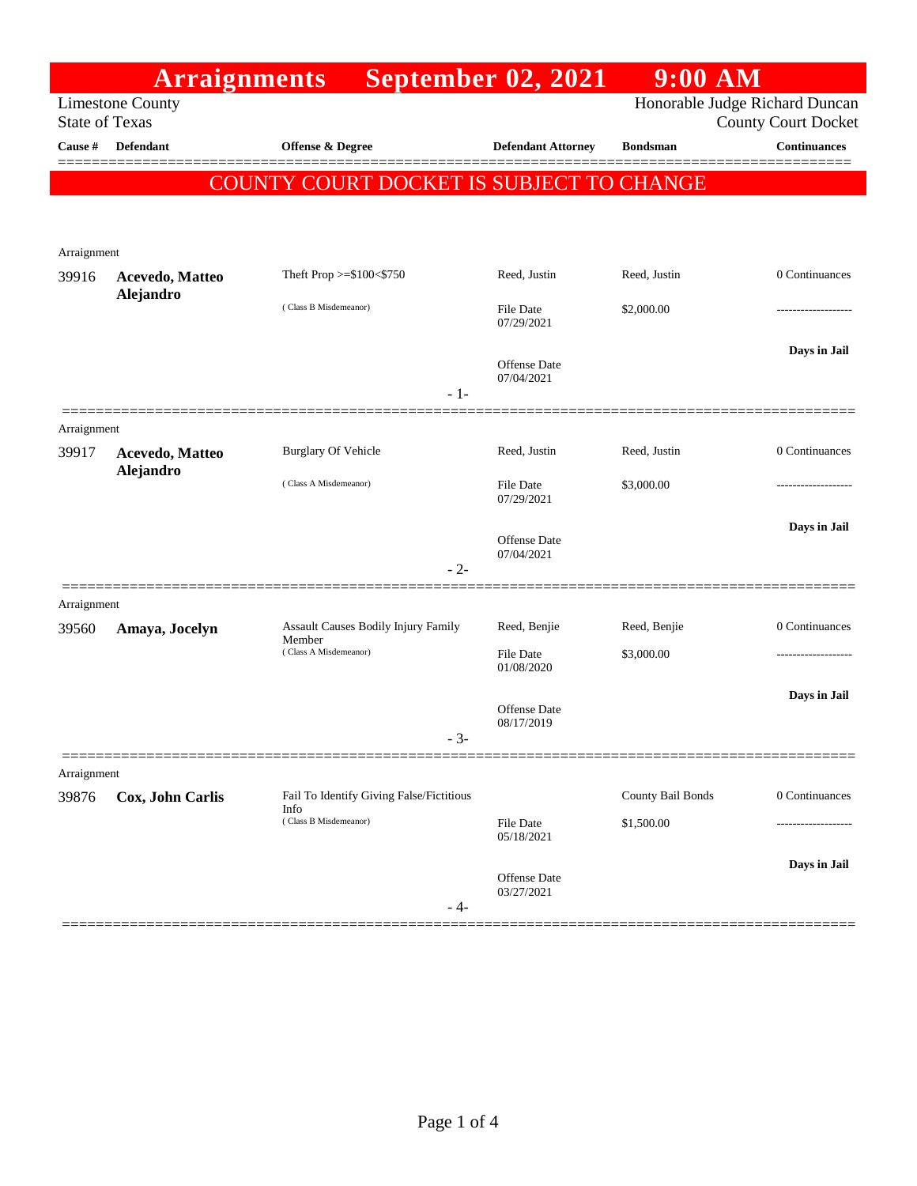|                                                  | <b>Arraignments</b> |                                                  | <b>September 02, 2021</b>         | $9:00$ AM                                                    |                     |
|--------------------------------------------------|---------------------|--------------------------------------------------|-----------------------------------|--------------------------------------------------------------|---------------------|
| <b>Limestone County</b><br><b>State of Texas</b> |                     |                                                  |                                   | Honorable Judge Richard Duncan<br><b>County Court Docket</b> |                     |
| Cause #                                          | <b>Defendant</b>    | <b>Offense &amp; Degree</b>                      | <b>Defendant Attorney</b>         | <b>Bondsman</b>                                              | <b>Continuances</b> |
|                                                  |                     | COUNTY COURT DOCKET IS SUBJECT TO CHANGE         |                                   |                                                              |                     |
|                                                  |                     |                                                  |                                   |                                                              |                     |
|                                                  |                     |                                                  |                                   |                                                              |                     |
| Arraignment<br>39916                             | Acevedo, Matteo     | Theft Prop >=\$100<\$750                         | Reed, Justin                      | Reed, Justin                                                 | 0 Continuances      |
|                                                  | Alejandro           | (Class B Misdemeanor)                            | <b>File Date</b><br>07/29/2021    | \$2,000.00                                                   |                     |
|                                                  |                     | $-1-$                                            | <b>Offense</b> Date<br>07/04/2021 |                                                              | Days in Jail        |
| Arraignment                                      |                     |                                                  |                                   |                                                              |                     |
| 39917                                            | Acevedo, Matteo     | <b>Burglary Of Vehicle</b>                       | Reed, Justin                      | Reed, Justin                                                 | 0 Continuances      |
|                                                  | Alejandro           | (Class A Misdemeanor)                            | File Date<br>07/29/2021           | \$3,000.00                                                   |                     |
|                                                  |                     |                                                  | Offense Date<br>07/04/2021        |                                                              | Days in Jail        |
|                                                  |                     | $-2-$                                            |                                   |                                                              |                     |
| Arraignment<br>39560                             | Amaya, Jocelyn      | Assault Causes Bodily Injury Family              | Reed, Benjie                      | Reed, Benjie                                                 | 0 Continuances      |
|                                                  |                     | Member<br>(Class A Misdemeanor)                  | File Date                         | \$3,000.00                                                   |                     |
|                                                  |                     |                                                  | 01/08/2020                        |                                                              |                     |
|                                                  |                     |                                                  | <b>Offense</b> Date               |                                                              | Days in Jail        |
|                                                  |                     | - 3-                                             | 08/17/2019                        |                                                              |                     |
| Arraignment                                      |                     |                                                  |                                   |                                                              |                     |
| 39876                                            | Cox, John Carlis    | Fail To Identify Giving False/Fictitious<br>Info |                                   | County Bail Bonds                                            | 0 Continuances      |
|                                                  |                     | (Class B Misdemeanor)                            | File Date<br>05/18/2021           | \$1,500.00                                                   |                     |
|                                                  |                     | - 4-                                             | Offense Date<br>03/27/2021        |                                                              | Days in Jail        |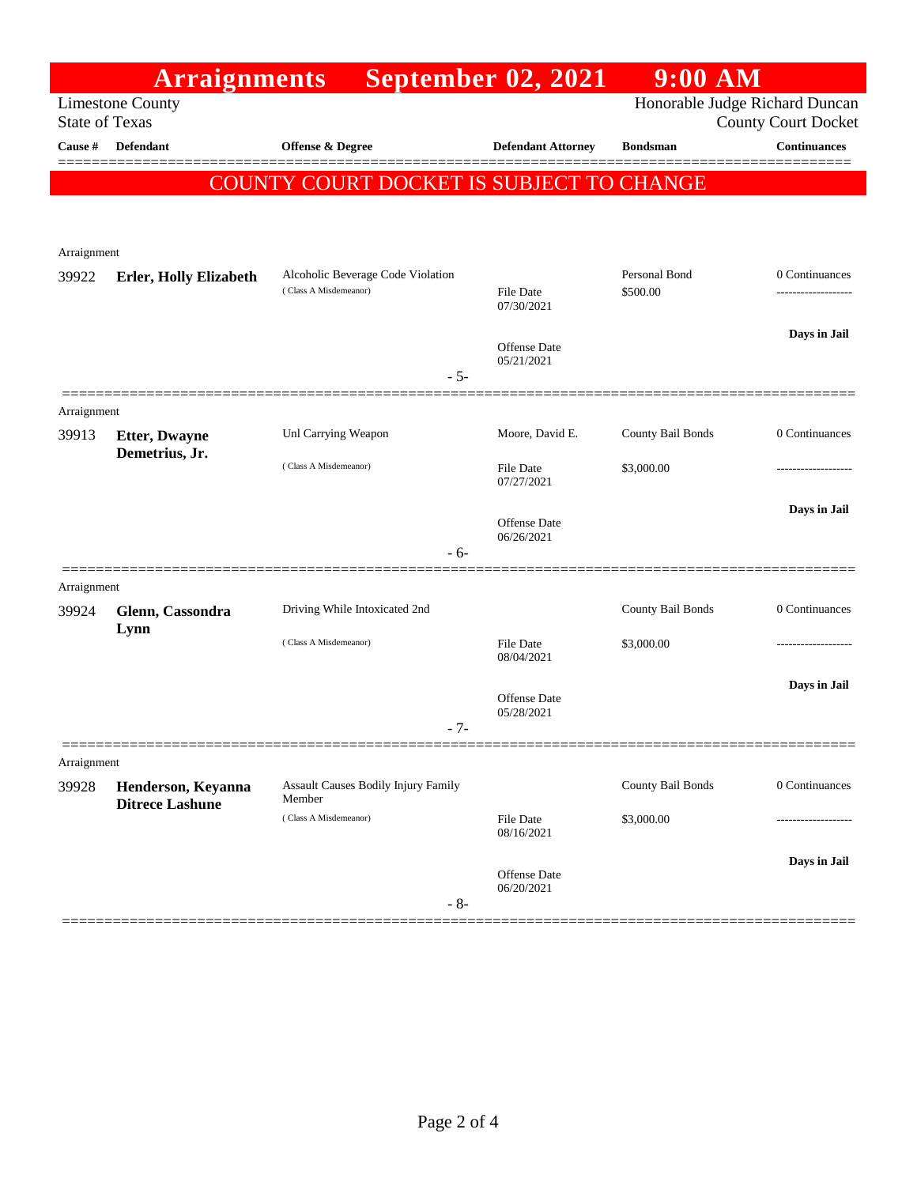|                       | <b>Arraignments</b>                          |                                                                     | <b>September 02, 2021</b>      | $9:00$ AM                 |                     |
|-----------------------|----------------------------------------------|---------------------------------------------------------------------|--------------------------------|---------------------------|---------------------|
| <b>State of Texas</b> | <b>Limestone County</b>                      | Honorable Judge Richard Duncan<br><b>County Court Docket</b>        |                                |                           |                     |
| Cause #               | <b>Defendant</b>                             | Offense & Degree                                                    | <b>Defendant Attorney</b>      | <b>Bondsman</b>           | <b>Continuances</b> |
|                       |                                              | COUNTY COURT DOCKET IS SUBJECT TO CHANGE                            |                                |                           |                     |
|                       |                                              |                                                                     |                                |                           |                     |
| Arraignment           |                                              |                                                                     |                                |                           |                     |
| 39922                 | <b>Erler, Holly Elizabeth</b>                | Alcoholic Beverage Code Violation<br>(Class A Misdemeanor)<br>$-5-$ | <b>File Date</b><br>07/30/2021 | Personal Bond<br>\$500.00 | 0 Continuances      |
|                       |                                              |                                                                     | Offense Date<br>05/21/2021     |                           | Days in Jail        |
| Arraignment           |                                              |                                                                     |                                |                           |                     |
| 39913                 | <b>Etter, Dwayne</b><br>Demetrius, Jr.       | Unl Carrying Weapon                                                 | Moore, David E.                | County Bail Bonds         | 0 Continuances      |
|                       |                                              | (Class A Misdemeanor)                                               | <b>File Date</b><br>07/27/2021 | \$3,000.00                |                     |
|                       |                                              |                                                                     | <b>Offense</b> Date            |                           | Days in Jail        |
|                       |                                              | $-6-$                                                               | 06/26/2021                     |                           |                     |
| Arraignment           |                                              |                                                                     |                                |                           |                     |
| 39924                 | Glenn, Cassondra<br>Lynn                     | Driving While Intoxicated 2nd                                       |                                | County Bail Bonds         | 0 Continuances      |
|                       |                                              | (Class A Misdemeanor)                                               | <b>File Date</b><br>08/04/2021 | \$3,000.00                |                     |
|                       |                                              |                                                                     | Offense Date<br>05/28/2021     |                           | Days in Jail        |
|                       |                                              | $-7-$                                                               |                                |                           |                     |
| Arraignment           |                                              |                                                                     |                                |                           |                     |
| 39928                 | Henderson, Keyanna<br><b>Ditrece Lashune</b> | Assault Causes Bodily Injury Family<br>Member                       |                                | County Bail Bonds         | 0 Continuances      |
|                       |                                              | (Class A Misdemeanor)                                               | <b>File Date</b><br>08/16/2021 | \$3,000.00                |                     |
|                       |                                              | $-8-$                                                               | Offense Date<br>06/20/2021     |                           | Days in Jail        |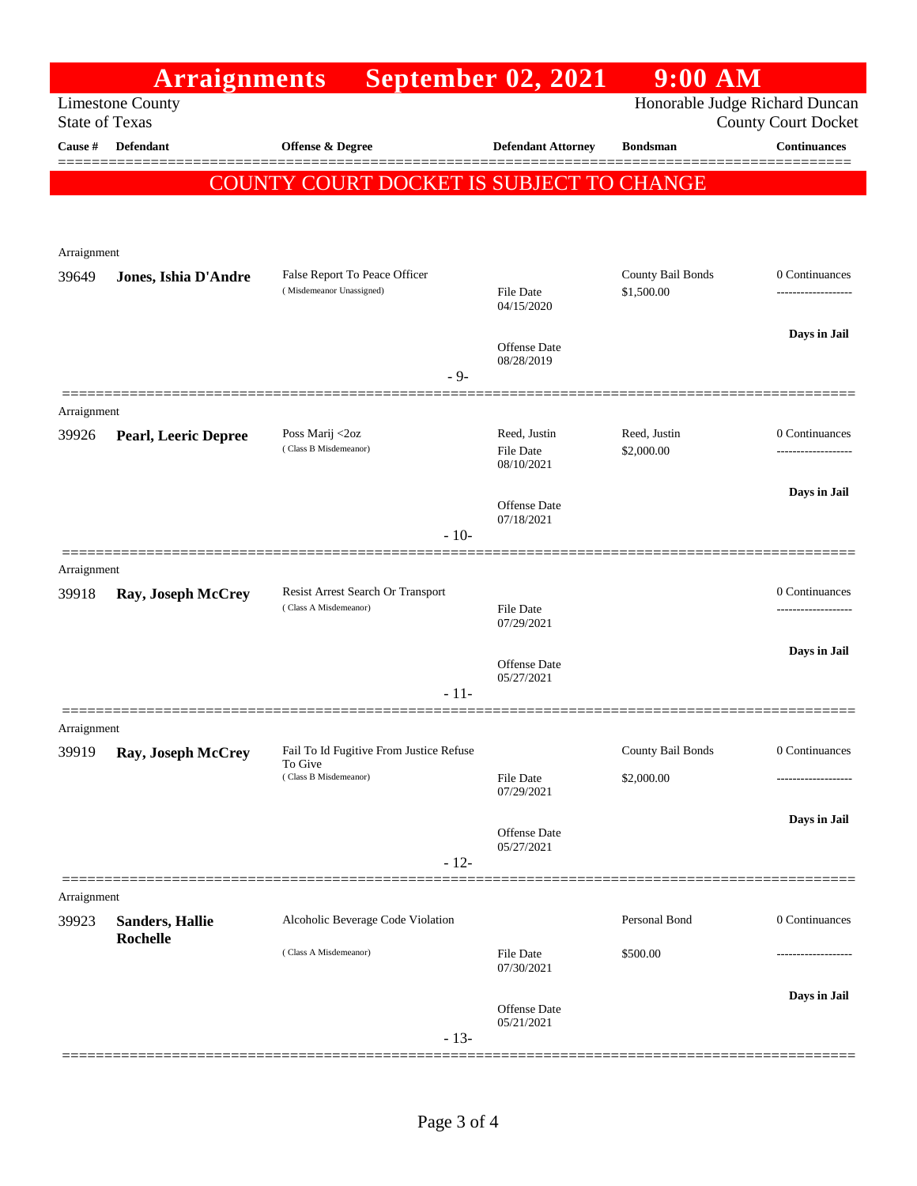|                       | <b>Arraignments</b>                |                                                                             |        | <b>September 02, 2021</b>                      | $9:00$ AM                              |                                                              |
|-----------------------|------------------------------------|-----------------------------------------------------------------------------|--------|------------------------------------------------|----------------------------------------|--------------------------------------------------------------|
| <b>State of Texas</b> | <b>Limestone County</b>            |                                                                             |        |                                                |                                        | Honorable Judge Richard Duncan<br><b>County Court Docket</b> |
| Cause #               | Defendant                          | Offense & Degree                                                            |        | <b>Defendant Attorney</b>                      | <b>Bondsman</b>                        | <b>Continuances</b>                                          |
|                       |                                    | COUNTY COURT DOCKET IS SUBJECT TO CHANGE                                    |        |                                                |                                        |                                                              |
|                       |                                    |                                                                             |        |                                                |                                        |                                                              |
| Arraignment           |                                    |                                                                             |        |                                                |                                        |                                                              |
| 39649                 | Jones, Ishia D'Andre               | False Report To Peace Officer<br>(Misdemeanor Unassigned)                   |        | File Date<br>04/15/2020                        | County Bail Bonds<br>\$1,500.00        | 0 Continuances                                               |
|                       |                                    |                                                                             |        | Offense Date<br>08/28/2019                     |                                        | Days in Jail                                                 |
|                       |                                    |                                                                             | $-9-$  |                                                |                                        |                                                              |
| Arraignment<br>39926  | <b>Pearl, Leeric Depree</b>        | Poss Marij <2oz<br>(Class B Misdemeanor)                                    |        | Reed, Justin<br><b>File Date</b><br>08/10/2021 | Reed, Justin<br>\$2,000.00             | 0 Continuances                                               |
|                       |                                    |                                                                             | $-10-$ | Offense Date<br>07/18/2021                     |                                        | Days in Jail                                                 |
| Arraignment           |                                    |                                                                             |        |                                                |                                        |                                                              |
| 39918                 | Ray, Joseph McCrey                 | Resist Arrest Search Or Transport<br>(Class A Misdemeanor)                  |        | <b>File Date</b><br>07/29/2021                 |                                        | 0 Continuances                                               |
|                       |                                    |                                                                             | $-11-$ | Offense Date<br>05/27/2021                     |                                        | Days in Jail                                                 |
| Arraignment           |                                    |                                                                             |        |                                                |                                        |                                                              |
| 39919                 | Ray, Joseph McCrey                 | Fail To Id Fugitive From Justice Refuse<br>To Give<br>(Class B Misdemeanor) |        | File Date<br>07/29/2021                        | <b>County Bail Bonds</b><br>\$2,000.00 | 0 Continuances                                               |
|                       |                                    |                                                                             | $-12-$ | Offense Date<br>05/27/2021                     |                                        | Days in Jail                                                 |
| Arraignment           |                                    |                                                                             |        |                                                |                                        |                                                              |
| 39923                 | <b>Sanders, Hallie</b><br>Rochelle | Alcoholic Beverage Code Violation                                           |        |                                                | Personal Bond                          | 0 Continuances                                               |
|                       |                                    | (Class A Misdemeanor)                                                       |        | File Date<br>07/30/2021                        | \$500.00                               |                                                              |
|                       |                                    |                                                                             | $-13-$ | Offense Date<br>05/21/2021                     |                                        | Days in Jail                                                 |